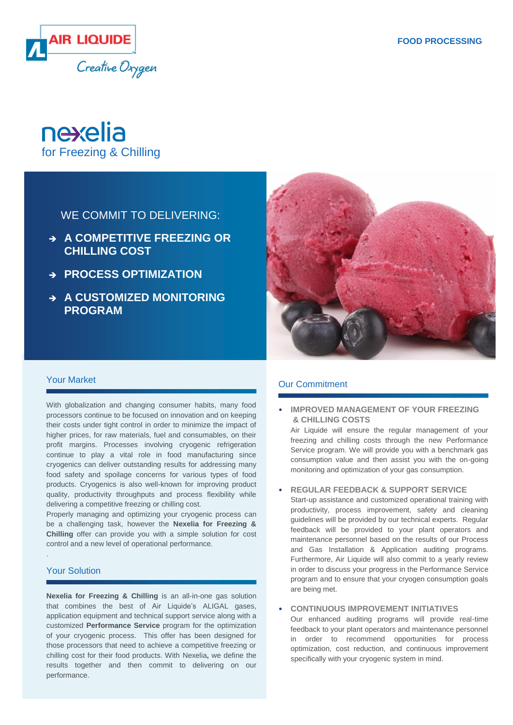

# nexelia for Freezing & Chilling

# WE COMMIT TO DELIVERING:

- **A COMPETITIVE FREEZING OR CHILLING COST**
- **PROCESS OPTIMIZATION**
- **A CUSTOMIZED MONITORING PROGRAM**



#### Our Commitment

- **IMPROVED MANAGEMENT OF YOUR FREEZING & CHILLING COSTS** Air Liquide will ensure the regular management of your freezing and chilling costs through the new Performance Service program. We will provide you with a benchmark gas consumption value and then assist you with the on-going monitoring and optimization of your gas consumption.
- **REGULAR FEEDBACK & SUPPORT SERVICE**

Start-up assistance and customized operational training with productivity, process improvement, safety and cleaning guidelines will be provided by our technical experts. Regular feedback will be provided to your plant operators and maintenance personnel based on the results of our Process and Gas Installation & Application auditing programs. Furthermore, Air Liquide will also commit to a yearly review in order to discuss your progress in the Performance Service program and to ensure that your cryogen consumption goals are being met.

• **CONTINUOUS IMPROVEMENT INITIATIVES** Our enhanced auditing programs will provide real-time feedback to your plant operators and maintenance personnel in order to recommend opportunities for process optimization, cost reduction, and continuous improvement specifically with your cryogenic system in mind.

#### Your Market

With globalization and changing consumer habits, many food processors continue to be focused on innovation and on keeping their costs under tight control in order to minimize the impact of higher prices, for raw materials, fuel and consumables, on their profit margins. Processes involving cryogenic refrigeration continue to play a vital role in food manufacturing since cryogenics can deliver outstanding results for addressing many food safety and spoilage concerns for various types of food products. Cryogenics is also well-known for improving product quality, productivity throughputs and process flexibility while delivering a competitive freezing or chilling cost.

Properly managing and optimizing your cryogenic process can be a challenging task, however the **Nexelia for Freezing & Chilling** offer can provide you with a simple solution for cost control and a new level of operational performance.

### Your Solution

.

**Nexelia for Freezing & Chilling** is an all-in-one gas solution that combines the best of Air Liquide's ALIGAL gases, application equipment and technical support service along with a customized **Performance Service** program for the optimization of your cryogenic process. This offer has been designed for those processors that need to achieve a competitive freezing or chilling cost for their food products. With Nexelia**,** we define the results together and then commit to delivering on our performance.